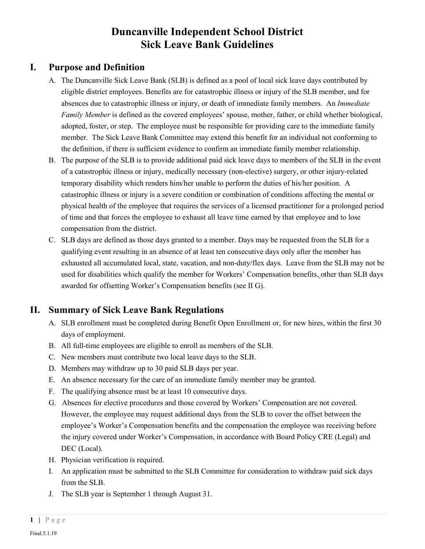# **Duncanville Independent School District Sick Leave Bank Guidelines**

### **I. Purpose and Definition**

- A. The Duncanville Sick Leave Bank (SLB) is defined as a pool of local sick leave days contributed by eligible district employees. Benefits are for catastrophic illness or injury of the SLB member, and for absences due to catastrophic illness or injury, or death of immediate family members. An *Immediate Family Member* is defined as the covered employees' spouse, mother, father, or child whether biological, adopted, foster, or step. The employee must be responsible for providing care to the immediate family member. The Sick Leave Bank Committee may extend this benefit for an individual not conforming to the definition, if there is sufficient evidence to confirm an immediate family member relationship.
- B. The purpose of the SLB is to provide additional paid sick leave days to members of the SLB in the event of a catastrophic illness or injury, medically necessary (non-elective) surgery, or other injury-related temporary disability which renders him/her unable to perform the duties of his/her position. A catastrophic illness or injury is a severe condition or combination of conditions affecting the mental or physical health of the employee that requires the services of a licensed practitioner for a prolonged period of time and that forces the employee to exhaust all leave time earned by that employee and to lose compensation from the district.
- C. SLB days are defined as those days granted to a member. Days may be requested from the SLB for a qualifying event resulting in an absence of at least ten consecutive days only after the member has exhausted all accumulated local, state, vacation, and non-duty/flex days. Leave from the SLB may not be used for disabilities which qualify the member for Workers' Compensation benefits, other than SLB days awarded for offsetting Worker's Compensation benefits (see II G).

### **II. Summary of Sick Leave Bank Regulations**

- A. SLB enrollment must be completed during Benefit Open Enrollment or, for new hires, within the first 30 days of employment.
- B. All full-time employees are eligible to enroll as members of the SLB.
- C. New members must contribute two local leave days to the SLB.
- D. Members may withdraw up to 30 paid SLB days per year.
- E. An absence necessary for the care of an immediate family member may be granted.
- F. The qualifying absence must be at least 10 consecutive days.
- G. Absences for elective procedures and those covered by Workers' Compensation are not covered. However, the employee may request additional days from the SLB to cover the offset between the employee's Worker's Compensation benefits and the compensation the employee was receiving before the injury covered under Worker's Compensation, in accordance with Board Policy CRE (Legal) and DEC (Local).
- H. Physician verification is required.
- I. An application must be submitted to the SLB Committee for consideration to withdraw paid sick days from the SLB.
- J. The SLB year is September 1 through August 31.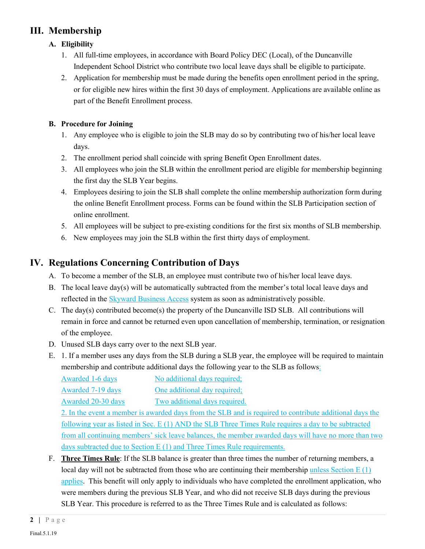## **III. Membership**

### **A. Eligibility**

- 1. All full-time employees, in accordance with Board Policy DEC (Local), of the Duncanville Independent School District who contribute two local leave days shall be eligible to participate.
- 2. Application for membership must be made during the benefits open enrollment period in the spring, or for eligible new hires within the first 30 days of employment. Applications are available online as part of the Benefit Enrollment process.

### **B. Procedure for Joining**

- 1. Any employee who is eligible to join the SLB may do so by contributing two of his/her local leave days.
- 2. The enrollment period shall coincide with spring Benefit Open Enrollment dates.
- 3. All employees who join the SLB within the enrollment period are eligible for membership beginning the first day the SLB Year begins.
- 4. Employees desiring to join the SLB shall complete the online membership authorization form during the online Benefit Enrollment process. Forms can be found within the SLB Participation section of online enrollment.
- 5. All employees will be subject to pre-existing conditions for the first six months of SLB membership.
- 6. New employees may join the SLB within the first thirty days of employment.

## **IV. Regulations Concerning Contribution of Days**

- A. To become a member of the SLB, an employee must contribute two of his/her local leave days.
- B. The local leave day(s) will be automatically subtracted from the member's total local leave days and reflected in the Skyward Business Access system as soon as administratively possible.
- C. The day(s) contributed become(s) the property of the Duncanville ISD SLB. All contributions will remain in force and cannot be returned even upon cancellation of membership, termination, or resignation of the employee.
- D. Unused SLB days carry over to the next SLB year.
- E. 1. If a member uses any days from the SLB during a SLB year, the employee will be required to maintain membership and contribute additional days the following year to the SLB as follows:

| No additional days required;  |
|-------------------------------|
| One additional day required;  |
| Two additional days required. |
|                               |

2. In the event a member is awarded days from the SLB and is required to contribute additional days the following year as listed in Sec. E (1) AND the SLB Three Times Rule requires a day to be subtracted from all continuing members' sick leave balances, the member awarded days will have no more than two days subtracted due to Section E (1) and Three Times Rule requirements.

F. **Three Times Rule**: If the SLB balance is greater than three times the number of returning members, a local day will not be subtracted from those who are continuing their membership unless Section E (1) applies. This benefit will only apply to individuals who have completed the enrollment application, who were members during the previous SLB Year, and who did not receive SLB days during the previous SLB Year. This procedure is referred to as the Three Times Rule and is calculated as follows: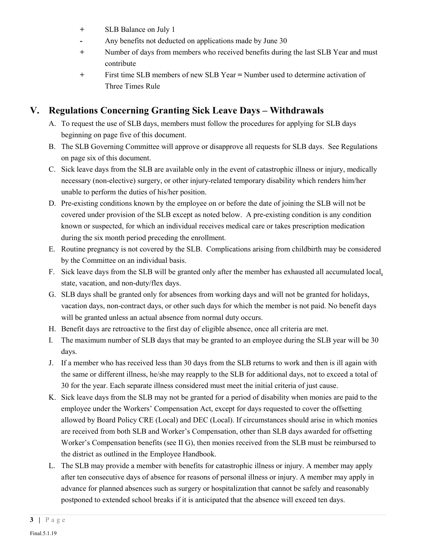- **+** SLB Balance on July 1
- **-** Any benefits not deducted on applications made by June 30
- **+** Number of days from members who received benefits during the last SLB Year and must contribute
- **+** First time SLB members of new SLB Year **=** Number used to determine activation of Three Times Rule

## **V. Regulations Concerning Granting Sick Leave Days – Withdrawals**

- A. To request the use of SLB days, members must follow the procedures for applying for SLB days beginning on page five of this document.
- B. The SLB Governing Committee will approve or disapprove all requests for SLB days. See Regulations on page six of this document.
- C. Sick leave days from the SLB are available only in the event of catastrophic illness or injury, medically necessary (non-elective) surgery, or other injury-related temporary disability which renders him/her unable to perform the duties of his/her position.
- D. Pre-existing conditions known by the employee on or before the date of joining the SLB will not be covered under provision of the SLB except as noted below. A pre-existing condition is any condition known or suspected, for which an individual receives medical care or takes prescription medication during the six month period preceding the enrollment.
- E. Routine pregnancy is not covered by the SLB. Complications arising from childbirth may be considered by the Committee on an individual basis.
- F. Sick leave days from the SLB will be granted only after the member has exhausted all accumulated local, state, vacation, and non-duty/flex days.
- G. SLB days shall be granted only for absences from working days and will not be granted for holidays, vacation days, non-contract days, or other such days for which the member is not paid. No benefit days will be granted unless an actual absence from normal duty occurs.
- H. Benefit days are retroactive to the first day of eligible absence, once all criteria are met.
- I. The maximum number of SLB days that may be granted to an employee during the SLB year will be 30 days.
- J. If a member who has received less than 30 days from the SLB returns to work and then is ill again with the same or different illness, he/she may reapply to the SLB for additional days, not to exceed a total of 30 for the year. Each separate illness considered must meet the initial criteria of just cause.
- K. Sick leave days from the SLB may not be granted for a period of disability when monies are paid to the employee under the Workers' Compensation Act, except for days requested to cover the offsetting allowed by Board Policy CRE (Local) and DEC (Local). If circumstances should arise in which monies are received from both SLB and Worker's Compensation, other than SLB days awarded for offsetting Worker's Compensation benefits (see II G), then monies received from the SLB must be reimbursed to the district as outlined in the Employee Handbook.
- L. The SLB may provide a member with benefits for catastrophic illness or injury. A member may apply after ten consecutive days of absence for reasons of personal illness or injury. A member may apply in advance for planned absences such as surgery or hospitalization that cannot be safely and reasonably postponed to extended school breaks if it is anticipated that the absence will exceed ten days.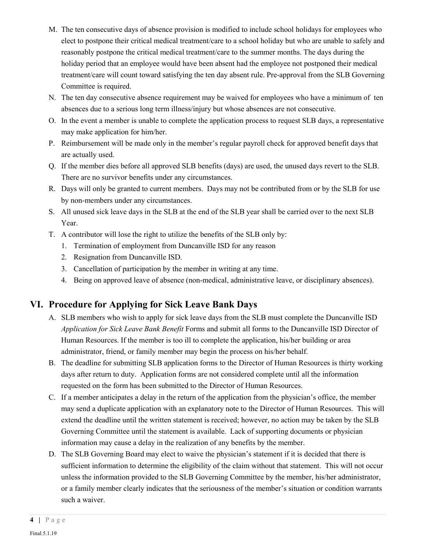- M. The ten consecutive days of absence provision is modified to include school holidays for employees who elect to postpone their critical medical treatment/care to a school holiday but who are unable to safely and reasonably postpone the critical medical treatment/care to the summer months. The days during the holiday period that an employee would have been absent had the employee not postponed their medical treatment/care will count toward satisfying the ten day absent rule. Pre-approval from the SLB Governing Committee is required.
- N. The ten day consecutive absence requirement may be waived for employees who have a minimum of ten absences due to a serious long term illness/injury but whose absences are not consecutive.
- O. In the event a member is unable to complete the application process to request SLB days, a representative may make application for him/her.
- P. Reimbursement will be made only in the member's regular payroll check for approved benefit days that are actually used.
- Q. If the member dies before all approved SLB benefits (days) are used, the unused days revert to the SLB. There are no survivor benefits under any circumstances.
- R. Days will only be granted to current members. Days may not be contributed from or by the SLB for use by non-members under any circumstances.
- S. All unused sick leave days in the SLB at the end of the SLB year shall be carried over to the next SLB Year.
- T. A contributor will lose the right to utilize the benefits of the SLB only by:
	- 1. Termination of employment from Duncanville ISD for any reason
	- 2. Resignation from Duncanville ISD.
	- 3. Cancellation of participation by the member in writing at any time.
	- 4. Being on approved leave of absence (non-medical, administrative leave, or disciplinary absences).

## **VI. Procedure for Applying for Sick Leave Bank Days**

- A. SLB members who wish to apply for sick leave days from the SLB must complete the Duncanville ISD *Application for Sick Leave Bank Benefit* Forms and submit all forms to the Duncanville ISD Director of Human Resources. If the member is too ill to complete the application, his/her building or area administrator, friend, or family member may begin the process on his/her behalf.
- B. The deadline for submitting SLB application forms to the Director of Human Resources is thirty working days after return to duty. Application forms are not considered complete until all the information requested on the form has been submitted to the Director of Human Resources.
- C. If a member anticipates a delay in the return of the application from the physician's office, the member may send a duplicate application with an explanatory note to the Director of Human Resources. This will extend the deadline until the written statement is received; however, no action may be taken by the SLB Governing Committee until the statement is available. Lack of supporting documents or physician information may cause a delay in the realization of any benefits by the member.
- D. The SLB Governing Board may elect to waive the physician's statement if it is decided that there is sufficient information to determine the eligibility of the claim without that statement. This will not occur unless the information provided to the SLB Governing Committee by the member, his/her administrator, or a family member clearly indicates that the seriousness of the member's situation or condition warrants such a waiver.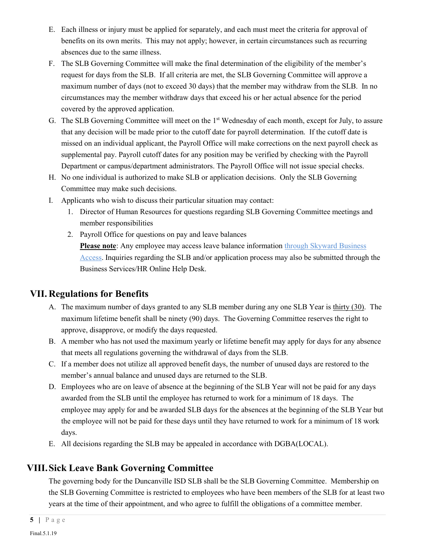- E. Each illness or injury must be applied for separately, and each must meet the criteria for approval of benefits on its own merits. This may not apply; however, in certain circumstances such as recurring absences due to the same illness.
- F. The SLB Governing Committee will make the final determination of the eligibility of the member's request for days from the SLB. If all criteria are met, the SLB Governing Committee will approve a maximum number of days (not to exceed 30 days) that the member may withdraw from the SLB. In no circumstances may the member withdraw days that exceed his or her actual absence for the period covered by the approved application.
- G. The SLB Governing Committee will meet on the 1st Wednesday of each month, except for July, to assure that any decision will be made prior to the cutoff date for payroll determination. If the cutoff date is missed on an individual applicant, the Payroll Office will make corrections on the next payroll check as supplemental pay. Payroll cutoff dates for any position may be verified by checking with the Payroll Department or campus/department administrators. The Payroll Office will not issue special checks.
- H. No one individual is authorized to make SLB or application decisions. Only the SLB Governing Committee may make such decisions.
- I. Applicants who wish to discuss their particular situation may contact:
	- 1. Director of Human Resources for questions regarding SLB Governing Committee meetings and member responsibilities
	- 2. Payroll Office for questions on pay and leave balances

**Please note**: Any employee may access leave balance information through Skyward Business Access. Inquiries regarding the SLB and/or application process may also be submitted through the Business Services/HR Online Help Desk.

### **VII. Regulations for Benefits**

- A. The maximum number of days granted to any SLB member during any one SLB Year is thirty (30). The maximum lifetime benefit shall be ninety (90) days. The Governing Committee reserves the right to approve, disapprove, or modify the days requested.
- B. A member who has not used the maximum yearly or lifetime benefit may apply for days for any absence that meets all regulations governing the withdrawal of days from the SLB.
- C. If a member does not utilize all approved benefit days, the number of unused days are restored to the member's annual balance and unused days are returned to the SLB.
- D. Employees who are on leave of absence at the beginning of the SLB Year will not be paid for any days awarded from the SLB until the employee has returned to work for a minimum of 18 days. The employee may apply for and be awarded SLB days for the absences at the beginning of the SLB Year but the employee will not be paid for these days until they have returned to work for a minimum of 18 work days.
- E. All decisions regarding the SLB may be appealed in accordance with DGBA(LOCAL).

## **VIII.Sick Leave Bank Governing Committee**

The governing body for the Duncanville ISD SLB shall be the SLB Governing Committee. Membership on the SLB Governing Committee is restricted to employees who have been members of the SLB for at least two years at the time of their appointment, and who agree to fulfill the obligations of a committee member.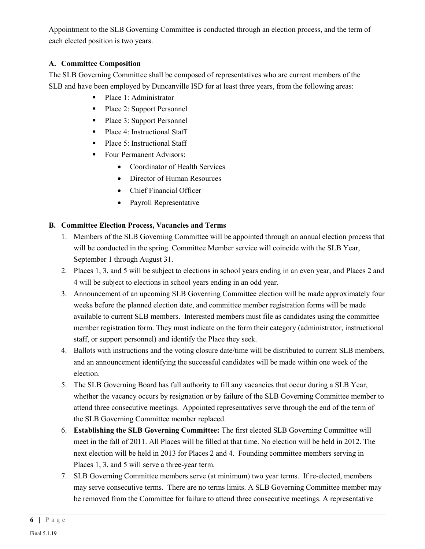Appointment to the SLB Governing Committee is conducted through an election process, and the term of each elected position is two years.

#### **A. Committee Composition**

The SLB Governing Committee shall be composed of representatives who are current members of the SLB and have been employed by Duncanville ISD for at least three years, from the following areas:

- Place 1: Administrator
- Place 2: Support Personnel
- Place 3: Support Personnel
- Place 4: Instructional Staff
- Place 5: Instructional Staff
- **Four Permanent Advisors:** 
	- Coordinator of Health Services
	- Director of Human Resources
	- Chief Financial Officer
	- Payroll Representative

#### **B. Committee Election Process, Vacancies and Terms**

- 1. Members of the SLB Governing Committee will be appointed through an annual election process that will be conducted in the spring. Committee Member service will coincide with the SLB Year, September 1 through August 31.
- 2. Places 1, 3, and 5 will be subject to elections in school years ending in an even year, and Places 2 and 4 will be subject to elections in school years ending in an odd year.
- 3. Announcement of an upcoming SLB Governing Committee election will be made approximately four weeks before the planned election date, and committee member registration forms will be made available to current SLB members. Interested members must file as candidates using the committee member registration form. They must indicate on the form their category (administrator, instructional staff, or support personnel) and identify the Place they seek.
- 4. Ballots with instructions and the voting closure date/time will be distributed to current SLB members, and an announcement identifying the successful candidates will be made within one week of the election.
- 5. The SLB Governing Board has full authority to fill any vacancies that occur during a SLB Year, whether the vacancy occurs by resignation or by failure of the SLB Governing Committee member to attend three consecutive meetings. Appointed representatives serve through the end of the term of the SLB Governing Committee member replaced.
- 6. **Establishing the SLB Governing Committee:** The first elected SLB Governing Committee will meet in the fall of 2011. All Places will be filled at that time. No election will be held in 2012. The next election will be held in 2013 for Places 2 and 4. Founding committee members serving in Places 1, 3, and 5 will serve a three-year term.
- 7. SLB Governing Committee members serve (at minimum) two year terms. If re-elected, members may serve consecutive terms. There are no terms limits. A SLB Governing Committee member may be removed from the Committee for failure to attend three consecutive meetings. A representative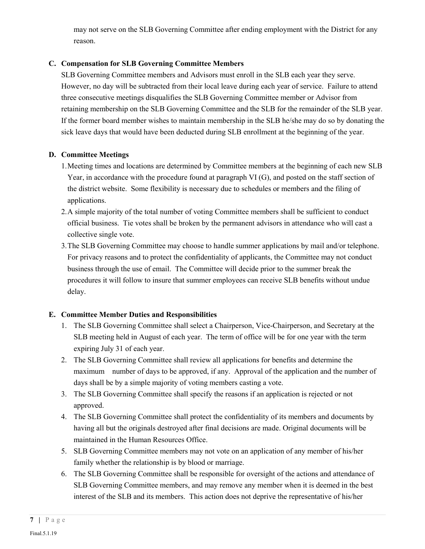may not serve on the SLB Governing Committee after ending employment with the District for any reason.

#### **C. Compensation for SLB Governing Committee Members**

SLB Governing Committee members and Advisors must enroll in the SLB each year they serve. However, no day will be subtracted from their local leave during each year of service. Failure to attend three consecutive meetings disqualifies the SLB Governing Committee member or Advisor from retaining membership on the SLB Governing Committee and the SLB for the remainder of the SLB year. If the former board member wishes to maintain membership in the SLB he/she may do so by donating the sick leave days that would have been deducted during SLB enrollment at the beginning of the year.

#### **D. Committee Meetings**

- 1.Meeting times and locations are determined by Committee members at the beginning of each new SLB Year, in accordance with the procedure found at paragraph VI (G), and posted on the staff section of the district website. Some flexibility is necessary due to schedules or members and the filing of applications.
- 2.A simple majority of the total number of voting Committee members shall be sufficient to conduct official business. Tie votes shall be broken by the permanent advisors in attendance who will cast a collective single vote.
- 3.The SLB Governing Committee may choose to handle summer applications by mail and/or telephone. For privacy reasons and to protect the confidentiality of applicants, the Committee may not conduct business through the use of email. The Committee will decide prior to the summer break the procedures it will follow to insure that summer employees can receive SLB benefits without undue delay.

#### **E. Committee Member Duties and Responsibilities**

- 1. The SLB Governing Committee shall select a Chairperson, Vice-Chairperson, and Secretary at the SLB meeting held in August of each year. The term of office will be for one year with the term expiring July 31 of each year.
- 2. The SLB Governing Committee shall review all applications for benefits and determine the maximum number of days to be approved, if any. Approval of the application and the number of days shall be by a simple majority of voting members casting a vote.
- 3. The SLB Governing Committee shall specify the reasons if an application is rejected or not approved.
- 4. The SLB Governing Committee shall protect the confidentiality of its members and documents by having all but the originals destroyed after final decisions are made. Original documents will be maintained in the Human Resources Office.
- 5. SLB Governing Committee members may not vote on an application of any member of his/her family whether the relationship is by blood or marriage.
- 6. The SLB Governing Committee shall be responsible for oversight of the actions and attendance of SLB Governing Committee members, and may remove any member when it is deemed in the best interest of the SLB and its members. This action does not deprive the representative of his/her